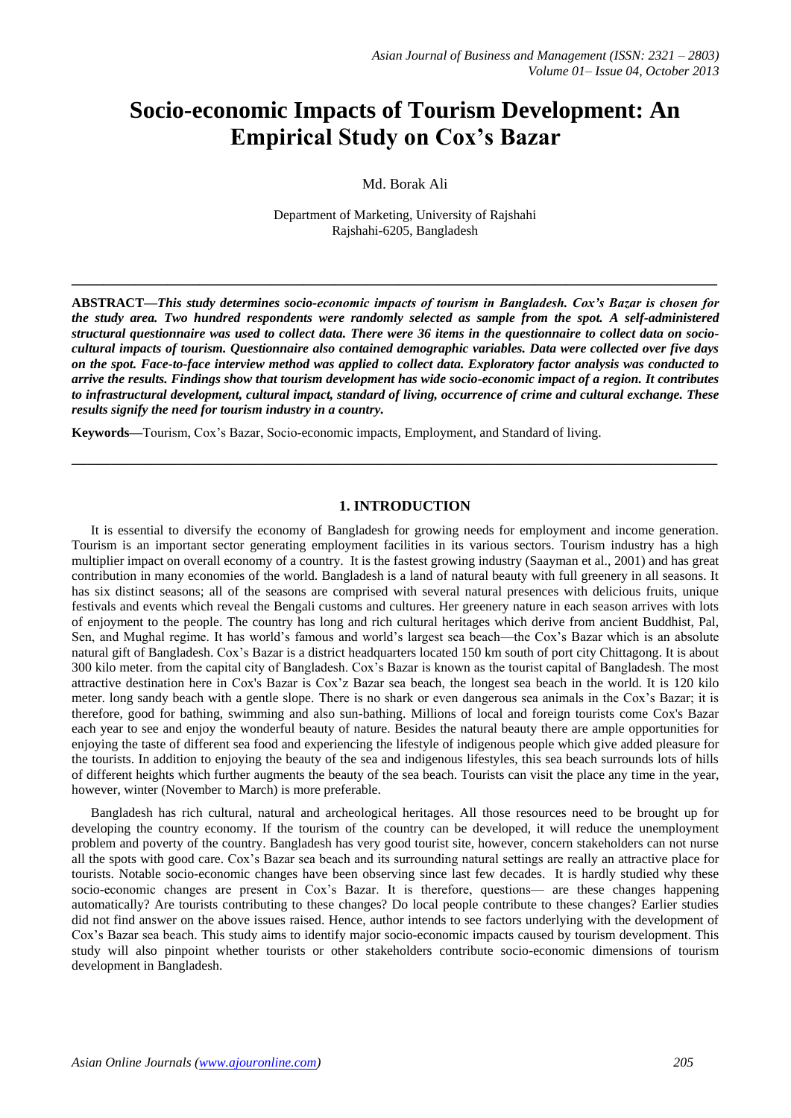# **Socio-economic Impacts of Tourism Development: An Empirical Study on Cox's Bazar**

Md. Borak Ali

Department of Marketing, University of Rajshahi Rajshahi-6205, Bangladesh

**ABSTRACT—***This study determines socio-economic impacts of tourism in Bangladesh. Cox's Bazar is chosen for the study area. Two hundred respondents were randomly selected as sample from the spot. A self-administered structural questionnaire was used to collect data. There were 36 items in the questionnaire to collect data on sociocultural impacts of tourism. Questionnaire also contained demographic variables. Data were collected over five days on the spot. Face-to-face interview method was applied to collect data. Exploratory factor analysis was conducted to arrive the results. Findings show that tourism development has wide socio-economic impact of a region. It contributes to infrastructural development, cultural impact, standard of living, occurrence of crime and cultural exchange. These results signify the need for tourism industry in a country.*

**\_\_\_\_\_\_\_\_\_\_\_\_\_\_\_\_\_\_\_\_\_\_\_\_\_\_\_\_\_\_\_\_\_\_\_\_\_\_\_\_\_\_\_\_\_\_\_\_\_\_\_\_\_\_\_\_\_\_\_\_\_\_\_\_\_\_\_\_\_\_\_\_\_\_\_\_\_\_\_\_\_**

**Keywords—**Tourism, Cox's Bazar, Socio-economic impacts, Employment, and Standard of living.

#### **1. INTRODUCTION**

**\_\_\_\_\_\_\_\_\_\_\_\_\_\_\_\_\_\_\_\_\_\_\_\_\_\_\_\_\_\_\_\_\_\_\_\_\_\_\_\_\_\_\_\_\_\_\_\_\_\_\_\_\_\_\_\_\_\_\_\_\_\_\_\_\_\_\_\_\_\_\_\_\_\_\_\_\_\_\_\_\_**

It is essential to diversify the economy of Bangladesh for growing needs for employment and income generation. Tourism is an important sector generating employment facilities in its various sectors. Tourism industry has a high multiplier impact on overall economy of a country. It is the fastest growing industry (Saayman et al., 2001) and has great contribution in many economies of the world. Bangladesh is a land of natural beauty with full greenery in all seasons. It has six distinct seasons; all of the seasons are comprised with several natural presences with delicious fruits, unique festivals and events which reveal the Bengali customs and cultures. Her greenery nature in each season arrives with lots of enjoyment to the people. The country has long and rich cultural heritages which derive from ancient Buddhist, Pal, Sen, and Mughal regime. It has world's famous and world's largest sea beach—the Cox's Bazar which is an absolute natural gift of Bangladesh. Cox's Bazar is a district headquarters located 150 km south of port city Chittagong. It is about 300 kilo meter. from the capital city of Bangladesh. Cox's Bazar is known as the tourist capital of Bangladesh. The most attractive destination here in Cox's Bazar is Cox'z Bazar sea beach, the longest sea beach in the world. It is 120 kilo meter. long sandy beach with a gentle slope. There is no shark or even dangerous sea animals in the Cox's Bazar; it is therefore, good for bathing, swimming and also sun-bathing. Millions of local and foreign tourists come Cox's Bazar each year to see and enjoy the wonderful beauty of nature. Besides the natural beauty there are ample opportunities for enjoying the taste of different sea food and experiencing the lifestyle of indigenous people which give added pleasure for the tourists. In addition to enjoying the beauty of the sea and indigenous lifestyles, this sea beach surrounds lots of hills of different heights which further augments the beauty of the sea beach. Tourists can visit the place any time in the year, however, winter (November to March) is more preferable.

Bangladesh has rich cultural, natural and archeological heritages. All those resources need to be brought up for developing the country economy. If the tourism of the country can be developed, it will reduce the unemployment problem and poverty of the country. Bangladesh has very good tourist site, however, concern stakeholders can not nurse all the spots with good care. Cox's Bazar sea beach and its surrounding natural settings are really an attractive place for tourists. Notable socio-economic changes have been observing since last few decades. It is hardly studied why these socio-economic changes are present in Cox's Bazar. It is therefore, questions— are these changes happening automatically? Are tourists contributing to these changes? Do local people contribute to these changes? Earlier studies did not find answer on the above issues raised. Hence, author intends to see factors underlying with the development of Cox's Bazar sea beach. This study aims to identify major socio-economic impacts caused by tourism development. This study will also pinpoint whether tourists or other stakeholders contribute socio-economic dimensions of tourism development in Bangladesh.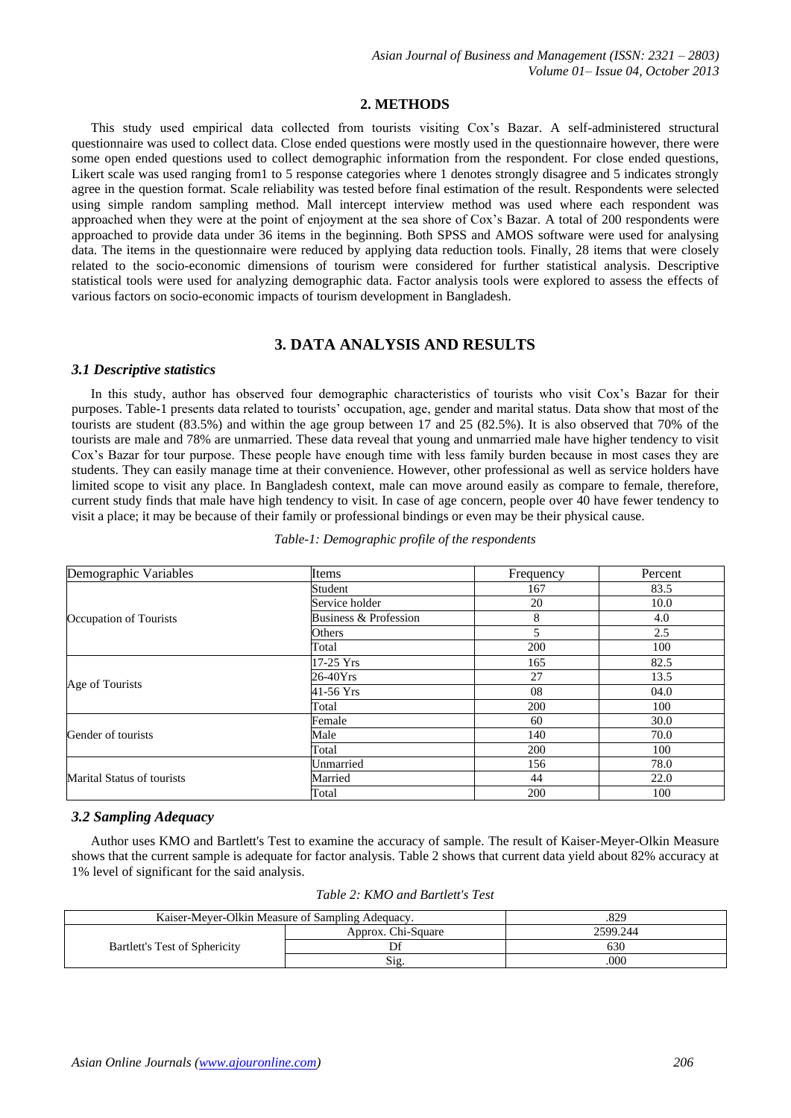# **2. METHODS**

This study used empirical data collected from tourists visiting Cox's Bazar. A self-administered structural questionnaire was used to collect data. Close ended questions were mostly used in the questionnaire however, there were some open ended questions used to collect demographic information from the respondent. For close ended questions, Likert scale was used ranging from1 to 5 response categories where 1 denotes strongly disagree and 5 indicates strongly agree in the question format. Scale reliability was tested before final estimation of the result. Respondents were selected using simple random sampling method. Mall intercept interview method was used where each respondent was approached when they were at the point of enjoyment at the sea shore of Cox's Bazar. A total of 200 respondents were approached to provide data under 36 items in the beginning. Both SPSS and AMOS software were used for analysing data. The items in the questionnaire were reduced by applying data reduction tools. Finally, 28 items that were closely related to the socio-economic dimensions of tourism were considered for further statistical analysis. Descriptive statistical tools were used for analyzing demographic data. Factor analysis tools were explored to assess the effects of various factors on socio-economic impacts of tourism development in Bangladesh.

# **3. DATA ANALYSIS AND RESULTS**

### *3.1 Descriptive statistics*

In this study, author has observed four demographic characteristics of tourists who visit Cox's Bazar for their purposes. Table-1 presents data related to tourists' occupation, age, gender and marital status. Data show that most of the tourists are student (83.5%) and within the age group between 17 and 25 (82.5%). It is also observed that 70% of the tourists are male and 78% are unmarried. These data reveal that young and unmarried male have higher tendency to visit Cox's Bazar for tour purpose. These people have enough time with less family burden because in most cases they are students. They can easily manage time at their convenience. However, other professional as well as service holders have limited scope to visit any place. In Bangladesh context, male can move around easily as compare to female, therefore, current study finds that male have high tendency to visit. In case of age concern, people over 40 have fewer tendency to visit a place; it may be because of their family or professional bindings or even may be their physical cause.

| Demographic Variables      | Items                 | Frequency | Percent |  |
|----------------------------|-----------------------|-----------|---------|--|
|                            | Student               | 167       | 83.5    |  |
|                            | Service holder        | 20        | 10.0    |  |
| Occupation of Tourists     | Business & Profession | 8         | 4.0     |  |
|                            | Others                |           | 2.5     |  |
|                            | Total                 | 200       | 100     |  |
|                            | 17-25 Yrs             | 165       | 82.5    |  |
|                            | 26-40Yrs              | 27        | 13.5    |  |
| Age of Tourists            | 41-56 Yrs             | 08        | 04.0    |  |
|                            | Total                 | 200       | 100     |  |
|                            | Female                | 60        | 30.0    |  |
| Gender of tourists         | Male                  | 140       | 70.0    |  |
|                            | Total                 | 200       | 100     |  |
|                            | Unmarried             | 156       | 78.0    |  |
| Marital Status of tourists | Married               | 44        | 22.0    |  |
|                            | Total                 | 200       | 100     |  |

*Table-1: Demographic profile of the respondents*

### *3.2 Sampling Adequacy*

Author uses KMO and Bartlett's Test to examine the accuracy of sample. The result of Kaiser-Meyer-Olkin Measure shows that the current sample is adequate for factor analysis. Table 2 shows that current data yield about 82% accuracy at 1% level of significant for the said analysis.

| Table 2: KMO and Bartlett's Test |  |  |
|----------------------------------|--|--|
|----------------------------------|--|--|

| Kaiser-Meyer-Olkin Measure of Sampling Adequacy. | .829               |          |  |  |
|--------------------------------------------------|--------------------|----------|--|--|
| <b>Bartlett's Test of Sphericity</b>             | Approx. Chi-Square | 2599.244 |  |  |
|                                                  |                    | 630      |  |  |
|                                                  | S12.               | .000     |  |  |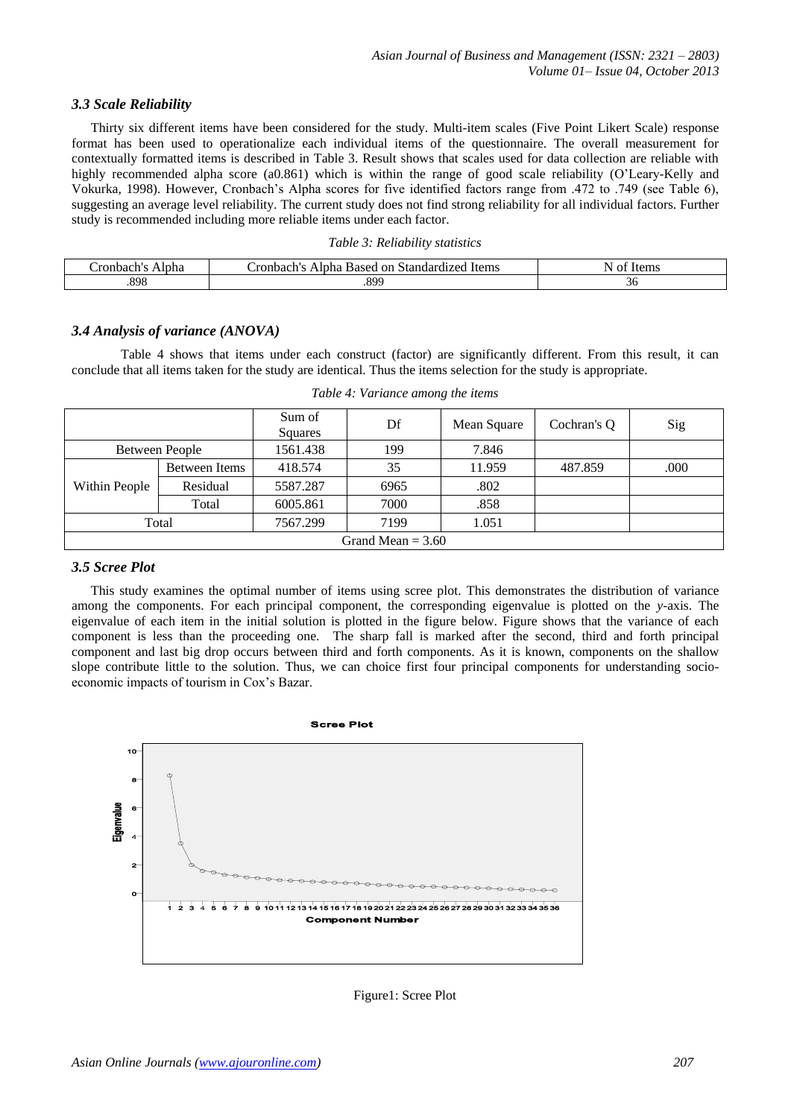# *3.3 Scale Reliability*

Thirty six different items have been considered for the study. Multi-item scales (Five Point Likert Scale) response format has been used to operationalize each individual items of the questionnaire. The overall measurement for contextually formatted items is described in Table 3. Result shows that scales used for data collection are reliable with highly recommended alpha score (a0.861) which is within the range of good scale reliability (O'Leary-Kelly and Vokurka, 1998). However, Cronbach's Alpha scores for five identified factors range from .472 to .749 (see Table 6), suggesting an average level reliability. The current study does not find strong reliability for all individual factors. Further study is recommended including more reliable items under each factor.

| $-1$ the $-$<br>ronba<br>ліс.<br>•и. | Items<br>dardı<br>`ronbach<br>-Stand<br>on<br>170<br>Ainha<br>based | .W.HR |
|--------------------------------------|---------------------------------------------------------------------|-------|
| 898                                  | .899                                                                | эυ    |

### *3.4 Analysis of variance (ANOVA)*

 Table 4 shows that items under each construct (factor) are significantly different. From this result, it can conclude that all items taken for the study are identical. Thus the items selection for the study is appropriate.

|                       |               | Sum of<br>Squares | Df   | Mean Square | Cochran's O | Sig  |  |  |
|-----------------------|---------------|-------------------|------|-------------|-------------|------|--|--|
| <b>Between People</b> |               | 1561.438          | 199  | 7.846       |             |      |  |  |
| Within People         | Between Items | 418.574           | 35   | 11.959      | 487.859     | .000 |  |  |
|                       | Residual      | 5587.287          | 6965 | .802        |             |      |  |  |
|                       | Total         | 6005.861          | 7000 | .858        |             |      |  |  |
| Total                 |               | 7567.299          | 7199 | 1.051       |             |      |  |  |
| Grand Mean $= 3.60$   |               |                   |      |             |             |      |  |  |

*Table 4: Variance among the items*

### *3.5 Scree Plot*

This study examines the optimal number of items using scree plot. This demonstrates the distribution of variance among the components. For each principal component, the corresponding eigenvalue is plotted on the *y*-axis. The eigenvalue of each item in the initial solution is plotted in the figure below. Figure shows that the variance of each component is less than the proceeding one. The sharp fall is marked after the second, third and forth principal component and last big drop occurs between third and forth components. As it is known, components on the shallow slope contribute little to the solution. Thus, we can choice first four principal components for understanding socioeconomic impacts of tourism in Cox's Bazar.



Figure1: Scree Plot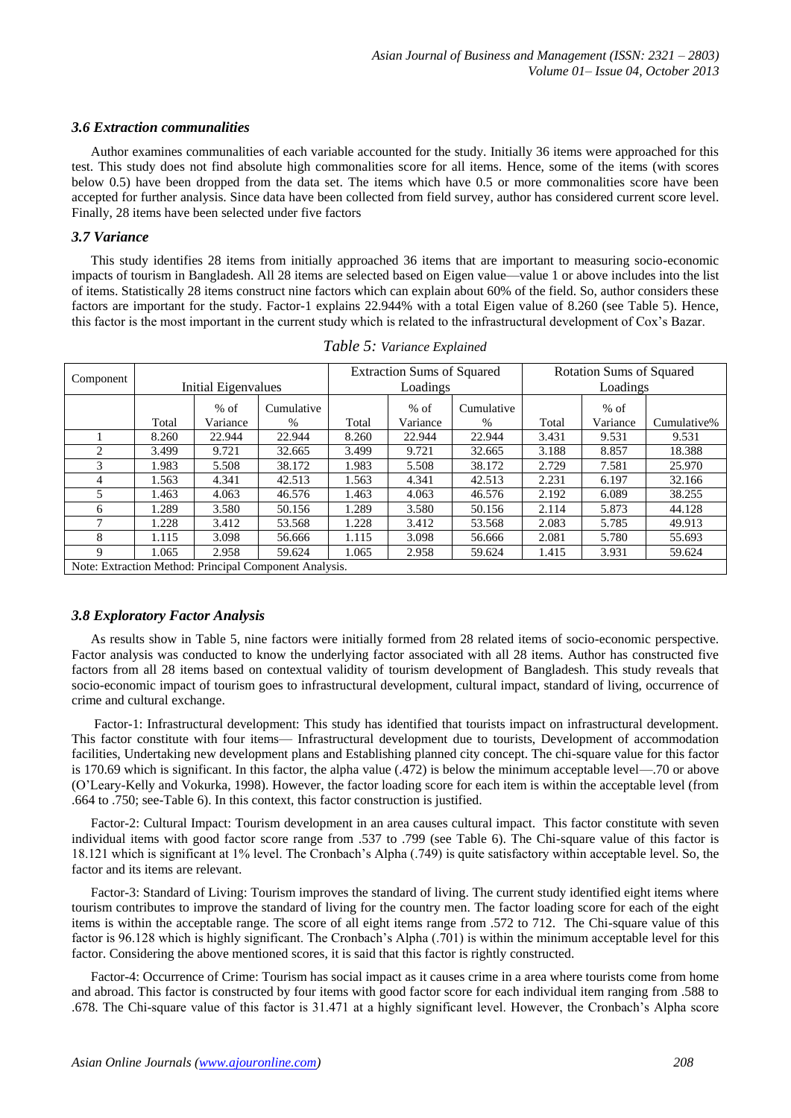#### *3.6 Extraction communalities*

Author examines communalities of each variable accounted for the study. Initially 36 items were approached for this test. This study does not find absolute high commonalities score for all items. Hence, some of the items (with scores below 0.5) have been dropped from the data set. The items which have 0.5 or more commonalities score have been accepted for further analysis. Since data have been collected from field survey, author has considered current score level. Finally, 28 items have been selected under five factors

#### *3.7 Variance*

This study identifies 28 items from initially approached 36 items that are important to measuring socio-economic impacts of tourism in Bangladesh. All 28 items are selected based on Eigen value—value 1 or above includes into the list of items. Statistically 28 items construct nine factors which can explain about 60% of the field. So, author considers these factors are important for the study. Factor-1 explains 22.944% with a total Eigen value of 8.260 (see Table 5). Hence, this factor is the most important in the current study which is related to the infrastructural development of Cox's Bazar.

| Component                                              |       |                            |            | <b>Extraction Sums of Squared</b> |          |            | Rotation Sums of Squared |          |             |  |  |
|--------------------------------------------------------|-------|----------------------------|------------|-----------------------------------|----------|------------|--------------------------|----------|-------------|--|--|
|                                                        |       | <b>Initial Eigenvalues</b> |            |                                   | Loadings |            |                          | Loadings |             |  |  |
|                                                        |       | $%$ of                     | Cumulative |                                   | $%$ of   | Cumulative |                          | $%$ of   |             |  |  |
|                                                        | Total | Variance                   | $\%$       | Total                             | Variance | $\%$       | Total                    | Variance | Cumulative% |  |  |
|                                                        | 8.260 | 22.944                     | 22.944     | 8.260                             | 22.944   | 22.944     | 3.431                    | 9.531    | 9.531       |  |  |
| 2                                                      | 3.499 | 9.721                      | 32.665     | 3.499                             | 9.721    | 32.665     | 3.188                    | 8.857    | 18.388      |  |  |
| 3                                                      | 1.983 | 5.508                      | 38.172     | 1.983                             | 5.508    | 38.172     | 2.729                    | 7.581    | 25.970      |  |  |
| 4                                                      | 1.563 | 4.341                      | 42.513     | 1.563                             | 4.341    | 42.513     | 2.231                    | 6.197    | 32.166      |  |  |
| 5                                                      | 1.463 | 4.063                      | 46.576     | 1.463                             | 4.063    | 46.576     | 2.192                    | 6.089    | 38.255      |  |  |
| 6                                                      | 1.289 | 3.580                      | 50.156     | 1.289                             | 3.580    | 50.156     | 2.114                    | 5.873    | 44.128      |  |  |
|                                                        | 1.228 | 3.412                      | 53.568     | 1.228                             | 3.412    | 53.568     | 2.083                    | 5.785    | 49.913      |  |  |
| 8                                                      | 1.115 | 3.098                      | 56.666     | 1.115                             | 3.098    | 56.666     | 2.081                    | 5.780    | 55.693      |  |  |
| 9                                                      | 1.065 | 2.958                      | 59.624     | 1.065                             | 2.958    | 59.624     | 1.415                    | 3.931    | 59.624      |  |  |
| Note: Extraction Method: Principal Component Analysis. |       |                            |            |                                   |          |            |                          |          |             |  |  |

| Table 5: Variance Explained |  |  |
|-----------------------------|--|--|
|-----------------------------|--|--|

### *3.8 Exploratory Factor Analysis*

As results show in Table 5, nine factors were initially formed from 28 related items of socio-economic perspective. Factor analysis was conducted to know the underlying factor associated with all 28 items. Author has constructed five factors from all 28 items based on contextual validity of tourism development of Bangladesh. This study reveals that socio-economic impact of tourism goes to infrastructural development, cultural impact, standard of living, occurrence of crime and cultural exchange.

Factor-1: Infrastructural development: This study has identified that tourists impact on infrastructural development. This factor constitute with four items— Infrastructural development due to tourists, Development of accommodation facilities, Undertaking new development plans and Establishing planned city concept. The chi-square value for this factor is 170.69 which is significant. In this factor, the alpha value (.472) is below the minimum acceptable level—.70 or above (O'Leary-Kelly and Vokurka, 1998). However, the factor loading score for each item is within the acceptable level (from .664 to .750; see-Table 6). In this context, this factor construction is justified.

Factor-2: Cultural Impact: Tourism development in an area causes cultural impact. This factor constitute with seven individual items with good factor score range from .537 to .799 (see Table 6). The Chi-square value of this factor is 18.121 which is significant at 1% level. The Cronbach's Alpha (.749) is quite satisfactory within acceptable level. So, the factor and its items are relevant.

Factor-3: Standard of Living: Tourism improves the standard of living. The current study identified eight items where tourism contributes to improve the standard of living for the country men. The factor loading score for each of the eight items is within the acceptable range. The score of all eight items range from .572 to 712. The Chi-square value of this factor is 96.128 which is highly significant. The Cronbach's Alpha (.701) is within the minimum acceptable level for this factor. Considering the above mentioned scores, it is said that this factor is rightly constructed.

Factor-4: Occurrence of Crime: Tourism has social impact as it causes crime in a area where tourists come from home and abroad. This factor is constructed by four items with good factor score for each individual item ranging from .588 to .678. The Chi-square value of this factor is 31.471 at a highly significant level. However, the Cronbach's Alpha score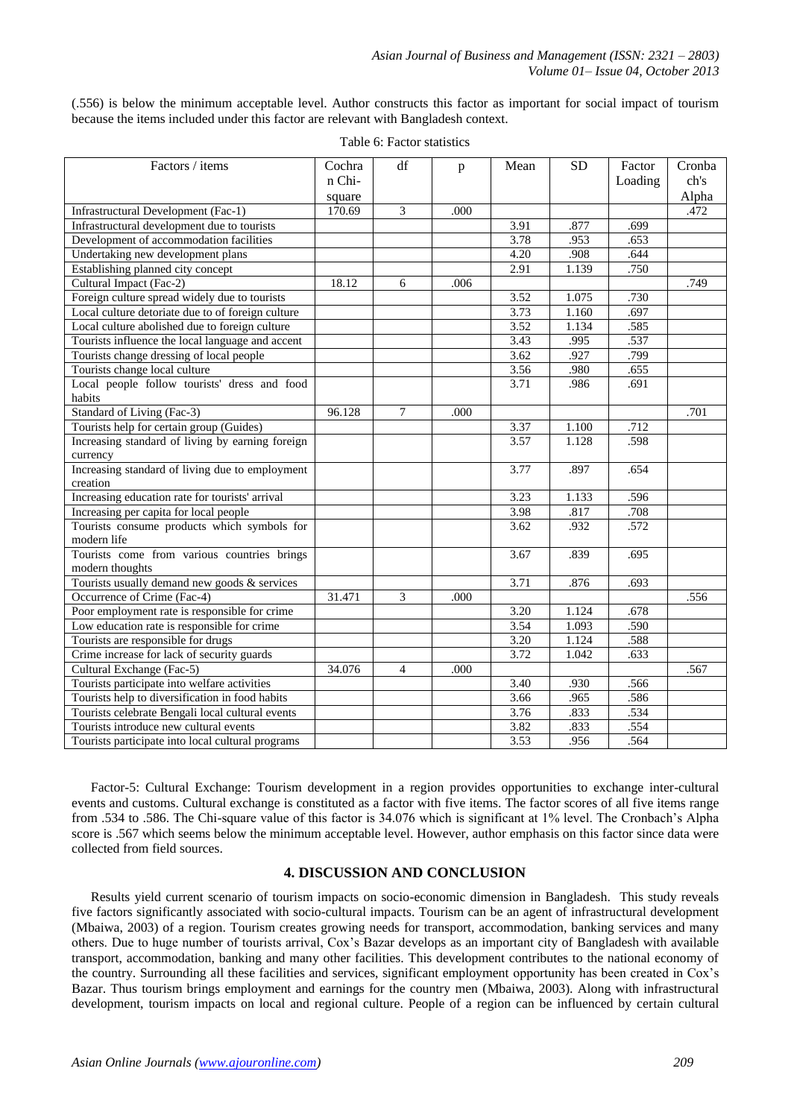(.556) is below the minimum acceptable level. Author constructs this factor as important for social impact of tourism because the items included under this factor are relevant with Bangladesh context.

| Factors / items                                   | Cochra | df             | p    | Mean | <b>SD</b> | Factor   | Cronba |
|---------------------------------------------------|--------|----------------|------|------|-----------|----------|--------|
|                                                   | n Chi- |                |      |      |           | Loading  | ch's   |
|                                                   | square |                |      |      |           |          | Alpha  |
| Infrastructural Development (Fac-1)               | 170.69 | 3              | .000 |      |           |          | .472   |
| Infrastructural development due to tourists       |        |                |      | 3.91 | .877      | .699     |        |
| Development of accommodation facilities           |        |                |      | 3.78 | .953      | .653     |        |
| Undertaking new development plans                 |        |                |      | 4.20 | .908      | .644     |        |
| Establishing planned city concept                 |        |                |      | 2.91 | 1.139     | .750     |        |
| Cultural Impact (Fac-2)                           | 18.12  | 6              | .006 |      |           |          | .749   |
| Foreign culture spread widely due to tourists     |        |                |      | 3.52 | 1.075     | .730     |        |
| Local culture detoriate due to of foreign culture |        |                |      | 3.73 | 1.160     | .697     |        |
| Local culture abolished due to foreign culture    |        |                |      | 3.52 | 1.134     | .585     |        |
| Tourists influence the local language and accent  |        |                |      | 3.43 | .995      | .537     |        |
| Tourists change dressing of local people          |        |                |      | 3.62 | .927      | .799     |        |
| Tourists change local culture                     |        |                |      | 3.56 | .980      | .655     |        |
| Local people follow tourists' dress and food      |        |                |      | 3.71 | .986      | .691     |        |
| habits                                            |        |                |      |      |           |          |        |
| Standard of Living (Fac-3)                        | 96.128 | 7              | .000 |      |           |          | .701   |
| Tourists help for certain group (Guides)          |        |                |      | 3.37 | 1.100     | .712     |        |
| Increasing standard of living by earning foreign  |        |                |      | 3.57 | 1.128     | .598     |        |
| currency                                          |        |                |      |      |           |          |        |
| Increasing standard of living due to employment   |        |                |      | 3.77 | .897      | .654     |        |
| creation                                          |        |                |      |      |           |          |        |
| Increasing education rate for tourists' arrival   |        |                |      | 3.23 | 1.133     | .596     |        |
| Increasing per capita for local people            |        |                |      | 3.98 | .817      | $.708\,$ |        |
| Tourists consume products which symbols for       |        |                |      | 3.62 | .932      | .572     |        |
| modern life                                       |        |                |      |      |           |          |        |
| Tourists come from various countries brings       |        |                |      | 3.67 | .839      | .695     |        |
| modern thoughts                                   |        |                |      |      |           |          |        |
| Tourists usually demand new goods & services      |        |                |      | 3.71 | .876      | .693     |        |
| Occurrence of Crime (Fac-4)                       | 31.471 | 3              | .000 |      |           |          | .556   |
| Poor employment rate is responsible for crime     |        |                |      | 3.20 | 1.124     | .678     |        |
| Low education rate is responsible for crime       |        |                |      | 3.54 | 1.093     | .590     |        |
| Tourists are responsible for drugs                |        |                |      | 3.20 | 1.124     | .588     |        |
| Crime increase for lack of security guards        |        |                |      | 3.72 | 1.042     | .633     |        |
| Cultural Exchange (Fac-5)                         | 34.076 | $\overline{4}$ | .000 |      |           |          | .567   |
| Tourists participate into welfare activities      |        |                |      | 3.40 | .930      | .566     |        |
| Tourists help to diversification in food habits   |        |                |      | 3.66 | .965      | .586     |        |
| Tourists celebrate Bengali local cultural events  |        |                |      | 3.76 | .833      | .534     |        |
| Tourists introduce new cultural events            |        |                |      | 3.82 | .833      | .554     |        |
| Tourists participate into local cultural programs |        |                |      | 3.53 | .956      | .564     |        |

Table 6: Factor statistics

Factor-5: Cultural Exchange: Tourism development in a region provides opportunities to exchange inter-cultural events and customs. Cultural exchange is constituted as a factor with five items. The factor scores of all five items range from .534 to .586. The Chi-square value of this factor is 34.076 which is significant at 1% level. The Cronbach's Alpha score is .567 which seems below the minimum acceptable level. However, author emphasis on this factor since data were collected from field sources.

### **4. DISCUSSION AND CONCLUSION**

Results yield current scenario of tourism impacts on socio-economic dimension in Bangladesh. This study reveals five factors significantly associated with socio-cultural impacts. Tourism can be an agent of infrastructural development (Mbaiwa, 2003) of a region. Tourism creates growing needs for transport, accommodation, banking services and many others. Due to huge number of tourists arrival, Cox's Bazar develops as an important city of Bangladesh with available transport, accommodation, banking and many other facilities. This development contributes to the national economy of the country. Surrounding all these facilities and services, significant employment opportunity has been created in Cox's Bazar. Thus tourism brings employment and earnings for the country men (Mbaiwa, 2003). Along with infrastructural development, tourism impacts on local and regional culture. People of a region can be influenced by certain cultural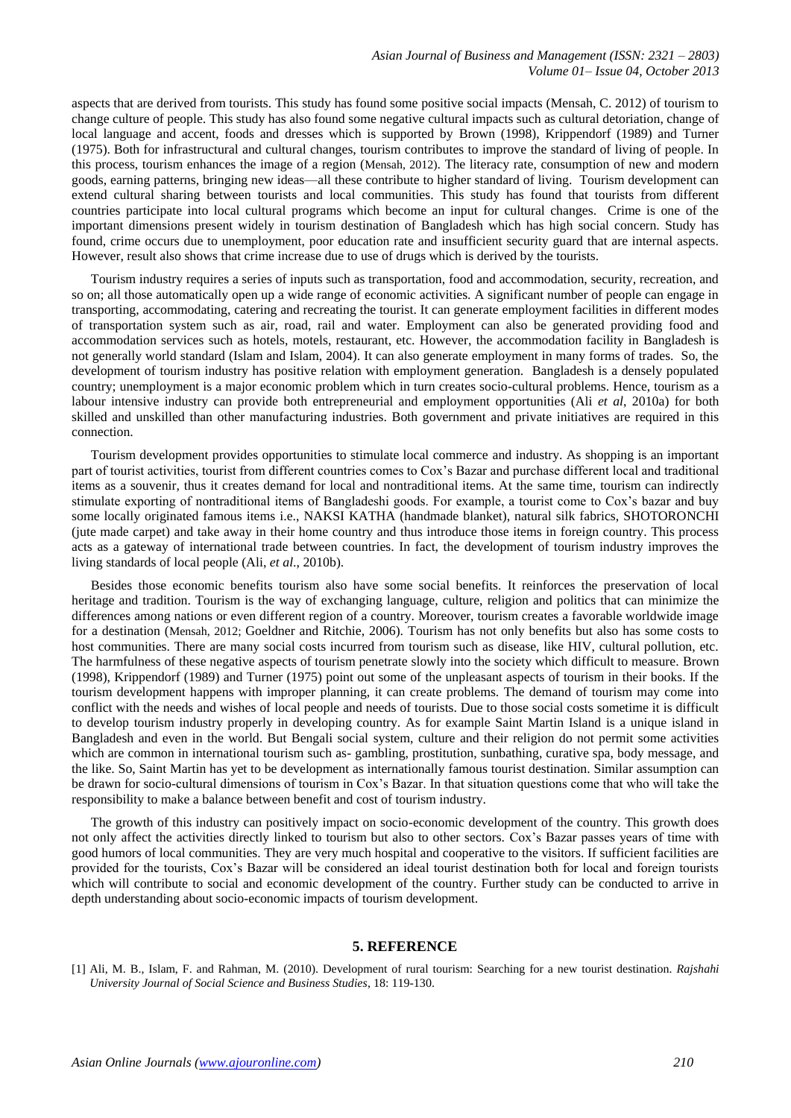aspects that are derived from tourists. This study has found some positive social impacts (Mensah, C. 2012) of tourism to change culture of people. This study has also found some negative cultural impacts such as cultural detoriation, change of local language and accent, foods and dresses which is supported by Brown (1998), Krippendorf (1989) and Turner (1975). Both for infrastructural and cultural changes, tourism contributes to improve the standard of living of people. In this process, tourism enhances the image of a region (Mensah, 2012). The literacy rate, consumption of new and modern goods, earning patterns, bringing new ideas—all these contribute to higher standard of living. Tourism development can extend cultural sharing between tourists and local communities. This study has found that tourists from different countries participate into local cultural programs which become an input for cultural changes. Crime is one of the important dimensions present widely in tourism destination of Bangladesh which has high social concern. Study has found, crime occurs due to unemployment, poor education rate and insufficient security guard that are internal aspects. However, result also shows that crime increase due to use of drugs which is derived by the tourists.

Tourism industry requires a series of inputs such as transportation, food and accommodation, security, recreation, and so on; all those automatically open up a wide range of economic activities. A significant number of people can engage in transporting, accommodating, catering and recreating the tourist. It can generate employment facilities in different modes of transportation system such as air, road, rail and water. Employment can also be generated providing food and accommodation services such as hotels, motels, restaurant, etc. However, the accommodation facility in Bangladesh is not generally world standard (Islam and Islam, 2004). It can also generate employment in many forms of trades. So, the development of tourism industry has positive relation with employment generation. Bangladesh is a densely populated country; unemployment is a major economic problem which in turn creates socio-cultural problems. Hence, tourism as a labour intensive industry can provide both entrepreneurial and employment opportunities (Ali *et al*, 2010a) for both skilled and unskilled than other manufacturing industries. Both government and private initiatives are required in this connection.

Tourism development provides opportunities to stimulate local commerce and industry. As shopping is an important part of tourist activities, tourist from different countries comes to Cox's Bazar and purchase different local and traditional items as a souvenir, thus it creates demand for local and nontraditional items. At the same time, tourism can indirectly stimulate exporting of nontraditional items of Bangladeshi goods. For example, a tourist come to Cox's bazar and buy some locally originated famous items i.e., NAKSI KATHA (handmade blanket), natural silk fabrics, SHOTORONCHI (jute made carpet) and take away in their home country and thus introduce those items in foreign country. This process acts as a gateway of international trade between countries. In fact, the development of tourism industry improves the living standards of local people (Ali, *et al*., 2010b).

Besides those economic benefits tourism also have some social benefits. It reinforces the preservation of local heritage and tradition. Tourism is the way of exchanging language, culture, religion and politics that can minimize the differences among nations or even different region of a country. Moreover, tourism creates a favorable worldwide image for a destination (Mensah, 2012; Goeldner and Ritchie, 2006). Tourism has not only benefits but also has some costs to host communities. There are many social costs incurred from tourism such as disease, like HIV, cultural pollution, etc. The harmfulness of these negative aspects of tourism penetrate slowly into the society which difficult to measure. Brown (1998), Krippendorf (1989) and Turner (1975) point out some of the unpleasant aspects of tourism in their books. If the tourism development happens with improper planning, it can create problems. The demand of tourism may come into conflict with the needs and wishes of local people and needs of tourists. Due to those social costs sometime it is difficult to develop tourism industry properly in developing country. As for example Saint Martin Island is a unique island in Bangladesh and even in the world. But Bengali social system, culture and their religion do not permit some activities which are common in international tourism such as- gambling, prostitution, sunbathing, curative spa, body message, and the like. So, Saint Martin has yet to be development as internationally famous tourist destination. Similar assumption can be drawn for socio-cultural dimensions of tourism in Cox's Bazar. In that situation questions come that who will take the responsibility to make a balance between benefit and cost of tourism industry.

The growth of this industry can positively impact on socio-economic development of the country. This growth does not only affect the activities directly linked to tourism but also to other sectors. Cox's Bazar passes years of time with good humors of local communities. They are very much hospital and cooperative to the visitors. If sufficient facilities are provided for the tourists, Cox's Bazar will be considered an ideal tourist destination both for local and foreign tourists which will contribute to social and economic development of the country. Further study can be conducted to arrive in depth understanding about socio-economic impacts of tourism development.

#### **5. REFERENCE**

[1] Ali, M. B., Islam, F. and Rahman, M. (2010). Development of rural tourism: Searching for a new tourist destination. *Rajshahi University Journal of Social Science and Business Studies*, 18: 119-130.